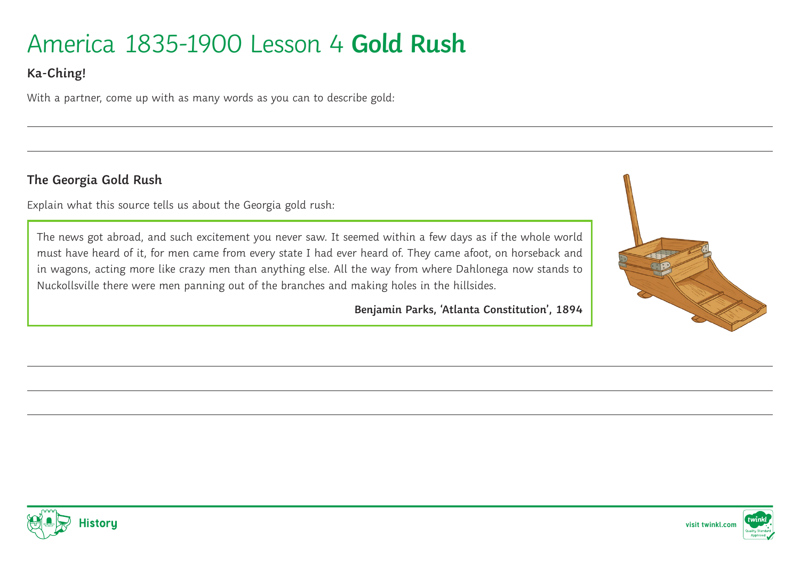# America 1835-1900 Lesson 4 **Gold Rush**

# **Ka-Ching!**

With a partner, come up with as many words as you can to describe gold:

#### **The Georgia Gold Rush**

Explain what this source tells us about the Georgia gold rush:

The news got abroad, and such excitement you never saw. It seemed within a few days as if the whole world must have heard of it, for men came from every state I had ever heard of. They came afoot, on horseback and in wagons, acting more like crazy men than anything else. All the way from where Dahlonega now stands to Nuckollsville there were men panning out of the branches and making holes in the hillsides.

**Benjamin Parks, 'Atlanta Constitution', 1894**





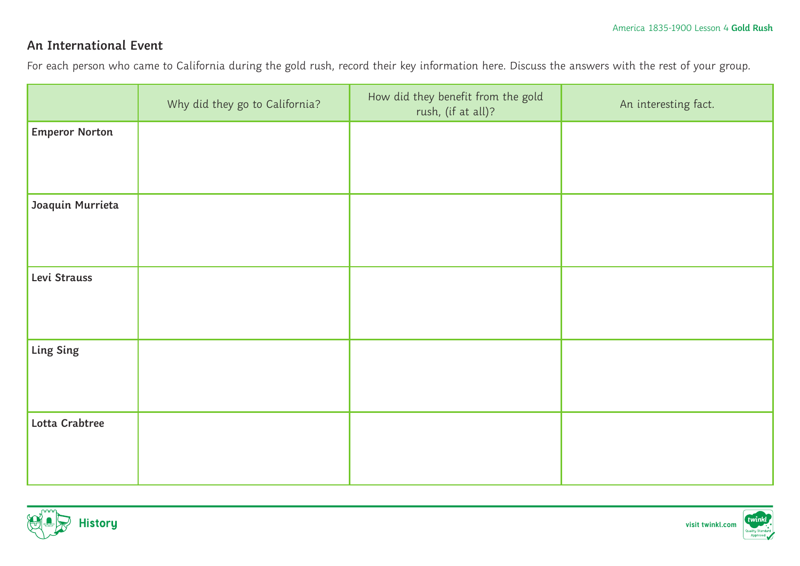## **An International Event**

For each person who came to California during the gold rush, record their key information here. Discuss the answers with the rest of your group.

|                       | Why did they go to California? | How did they benefit from the gold<br>rush, (if at all)? | An interesting fact. |
|-----------------------|--------------------------------|----------------------------------------------------------|----------------------|
| <b>Emperor Norton</b> |                                |                                                          |                      |
|                       |                                |                                                          |                      |
| Joaquin Murrieta      |                                |                                                          |                      |
|                       |                                |                                                          |                      |
| Levi Strauss          |                                |                                                          |                      |
|                       |                                |                                                          |                      |
| Ling Sing             |                                |                                                          |                      |
|                       |                                |                                                          |                      |
| Lotta Crabtree        |                                |                                                          |                      |
|                       |                                |                                                          |                      |



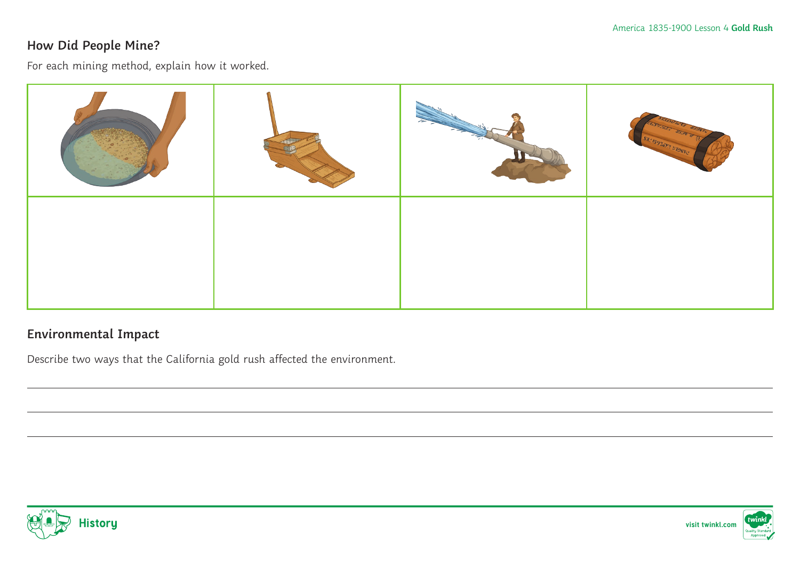### **How Did People Mine?**

For each mining method, explain how it worked.



### **Environmental Impact**

Describe two ways that the California gold rush affected the environment.